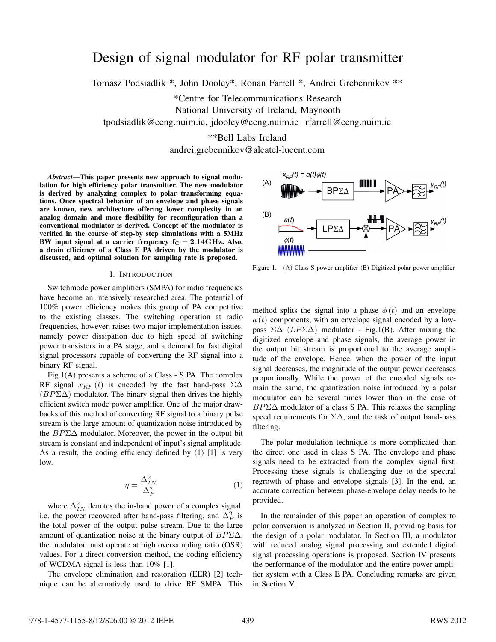# Design of signal modulator for RF polar transmitter

Tomasz Podsiadlik \*, John Dooley\*, Ronan Farrell \*, Andrei Grebennikov \*\*

\*Centre for Telecommunications Research National University of Ireland, Maynooth tpodsiadlik@eeng.nuim.ie, jdooley@eeng.nuim.ie rfarrell@eeng.nuim.ie

> \*\*Bell Labs Ireland andrei.grebennikov@alcatel-lucent.com

*Abstract*—This paper presents new approach to signal modulation for high efficiency polar transmitter. The new modulator is derived by analyzing complex to polar transforming equations. Once spectral behavior of an envelope and phase signals are known, new architecture offering lower complexity in an analog domain and more flexibility for reconfiguration than a conventional modulator is derived. Concept of the modulator is verified in the course of step-by step simulations with a 5MHz BW input signal at a carrier frequency  $f_C = 2.14 \text{GHz}$ . Also, a drain efficiency of a Class E PA driven by the modulator is discussed, and optimal solution for sampling rate is proposed.

#### I. INTRODUCTION

Switchmode power amplifiers (SMPA) for radio frequencies have become an intensively researched area. The potential of 100% power efficiency makes this group of PA competitive to the existing classes. The switching operation at radio frequencies, however, raises two major implementation issues, namely power dissipation due to high speed of switching power transistors in a PA stage, and a demand for fast digital signal processors capable of converting the RF signal into a binary RF signal.

Fig.1(A) presents a scheme of a Class - S PA. The complex RF signal  $x_{RF}(t)$  is encoded by the fast band-pass  $\Sigma\Delta$ (*BP*Σ∆) modulator. The binary signal then drives the highly efficient switch mode power amplifier. One of the major drawbacks of this method of converting RF signal to a binary pulse stream is the large amount of quantization noise introduced by the *BP*Σ∆ modulator. Moreover, the power in the output bit stream is constant and independent of input's signal amplitude. As a result, the coding efficiency defined by (1) [1] is very low.

$$
\eta = \frac{\Delta_{IN}^2}{\Delta_P^2} \tag{1}
$$

where  $\Delta_{IN}^2$  denotes the in-band power of a complex signal, i.e. the power recovered after band-pass filtering, and  $\Delta_P^2$  is the total power of the output pulse stream. Due to the large amount of quantization noise at the binary output of *BP*Σ∆, the modulator must operate at high oversampling ratio (OSR) values. For a direct conversion method, the coding efficiency of WCDMA signal is less than 10% [1].

The envelope elimination and restoration (EER) [2] technique can be alternatively used to drive RF SMPA. This



Figure 1. (A) Class S power amplifier (B) Digitized polar power amplifier

method splits the signal into a phase  $\phi(t)$  and an envelope  $a(t)$  components, with an envelope signal encoded by a lowpass Σ∆ (*LP*Σ∆) modulator - Fig.1(B). After mixing the digitized envelope and phase signals, the average power in the output bit stream is proportional to the average amplitude of the envelope. Hence, when the power of the input signal decreases, the magnitude of the output power decreases proportionally. While the power of the encoded signals remain the same, the quantization noise introduced by a polar modulator can be several times lower than in the case of *BP*Σ∆ modulator of a class S PA. This relaxes the sampling speed requirements for  $\Sigma\Delta$ , and the task of output band-pass filtering.

The polar modulation technique is more complicated than the direct one used in class S PA. The envelope and phase signals need to be extracted from the complex signal first. Processing these signals is challenging due to the spectral regrowth of phase and envelope signals [3]. In the end, an accurate correction between phase-envelope delay needs to be provided.

In the remainder of this paper an operation of complex to polar conversion is analyzed in Section II, providing basis for the design of a polar modulator. In Section III, a modulator with reduced analog signal processing and extended digital signal processing operations is proposed. Section IV presents the performance of the modulator and the entire power amplifier system with a Class E PA. Concluding remarks are given in Section V.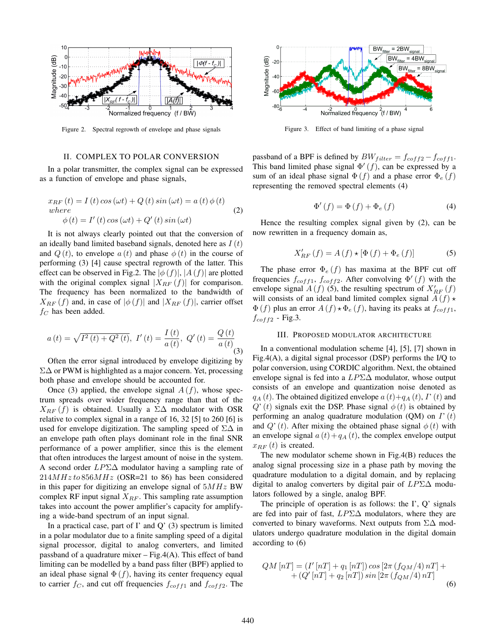

Figure 2. Spectral regrowth of envelope and phase signals

### II. COMPLEX TO POLAR CONVERSION

In a polar transmitter, the complex signal can be expressed as a function of envelope and phase signals,

$$
x_{RF}(t) = I(t)\cos(\omega t) + Q(t)\sin(\omega t) = a(t)\phi(t)
$$
  
where  

$$
\phi(t) = I'(t)\cos(\omega t) + Q'(t)\sin(\omega t)
$$
 (2)

It is not always clearly pointed out that the conversion of an ideally band limited baseband signals, denoted here as *I* (*t*) and  $Q(t)$ , to envelope  $a(t)$  and phase  $\phi(t)$  in the course of performing (3) [4] cause spectral regrowth of the latter. This effect can be observed in Fig.2. The  $|\phi(f)|$ ,  $|A(f)|$  are plotted with the original complex signal  $|X_{RF}(f)|$  for comparison. The frequency has been normalized to the bandwidth of  $X_{RF}(f)$  and, in case of  $|\phi(f)|$  and  $|X_{RF}(f)|$ , carrier offset *f<sup>C</sup>* has been added.

$$
a(t) = \sqrt{I^2(t) + Q^2(t)}, \ I'(t) = \frac{I(t)}{a(t)}, \ Q'(t) = \frac{Q(t)}{a(t)}
$$
\n(3)

Often the error signal introduced by envelope digitizing by Σ∆ or PWM is highlighted as a major concern. Yet, processing both phase and envelope should be accounted for.

Once (3) applied, the envelope signal  $A(f)$ , whose spectrum spreads over wider frequency range than that of the  $X_{RF}$  (*f*) is obtained. Usually a ∑∆ modulator with OSR relative to complex signal in a range of 16, 32 [5] to 260 [6] is used for envelope digitization. The sampling speed of  $\Sigma\Delta$  in an envelope path often plays dominant role in the final SNR performance of a power amplifier, since this is the element that often introduces the largest amount of noise in the system. A second order *LP*Σ∆ modulator having a sampling rate of  $214MHz to 856MHz$  (OSR=21 to 86) has been considered in this paper for digitizing an envelope signal of 5*MHz* BW complex RF input signal *XRF* . This sampling rate assumption takes into account the power amplifier's capacity for amplifying a wide-band spectrum of an input signal.

In a practical case, part of  $\Gamma$  and  $\mathbb{Q}'$  (3) spectrum is limited in a polar modulator due to a finite sampling speed of a digital signal processor, digital to analog converters, and limited passband of a quadrature mixer  $-$  Fig.4(A). This effect of band limiting can be modelled by a band pass filter (BPF) applied to an ideal phase signal  $\Phi(f)$ , having its center frequency equal to carrier  $f_C$ , and cut off frequencies  $f_{coff1}$  and  $f_{coff2}$ . The



Figure 3. Effect of band limiting of a phase signal

passband of a BPF is defined by  $BW_{filter} = f_{coff2} - f_{coff1}$ . This band limited phase signal  $\Phi'(f)$ , can be expressed by a sum of an ideal phase signal  $\Phi(f)$  and a phase error  $\Phi_e(f)$ representing the removed spectral elements (4)

$$
\Phi'(f) = \Phi(f) + \Phi_e(f) \tag{4}
$$

Hence the resulting complex signal given by (2), can be now rewritten in a frequency domain as,

$$
X'_{RF}(f) = A(f) \star [\Phi(f) + \Phi_e(f)] \tag{5}
$$

The phase error  $\Phi_e(f)$  has maxima at the BPF cut off frequencies  $f_{coff1}$ ,  $f_{coff2}$ . After convolving  $\Phi'(f)$  with the envelope signal  $A(f)$  (5), the resulting spectrum of  $X'_{RF}(f)$ will consists of an ideal band limited complex signal  $A(f) \star$  $\Phi(f)$  plus an error  $A(f) \star \Phi_e(f)$ , having its peaks at  $f_{coff1}$ ,  $f_{coff2}$  - Fig.3.

# III. PROPOSED MODULATOR ARCHITECTURE

In a conventional modulation scheme [4], [5], [7] shown in Fig.4(A), a digital signal processor (DSP) performs the I/Q to polar conversion, using CORDIC algorithm. Next, the obtained envelope signal is fed into a *LP*Σ∆ modulator, whose output consists of an envelope and quantization noise denoted as  $q_A(t)$ . The obtained digitized envelope  $a(t)+q_A(t)$ ,  $I'(t)$  and  $Q'(t)$  signals exit the DSP. Phase signal  $\phi(t)$  is obtained by performing an analog quadrature modulation (QM) on *I*'(*t*) and  $Q'(t)$ . After mixing the obtained phase signal  $\phi(t)$  with an envelope signal  $a(t) + q_A(t)$ , the complex envelope output  $x_{RF}(t)$  is created.

The new modulator scheme shown in Fig.4(B) reduces the analog signal processing size in a phase path by moving the quadrature modulation to a digital domain, and by replacing digital to analog converters by digital pair of *LP*Σ∆ modulators followed by a single, analog BPF.

The principle of operation is as follows: the  $\Gamma$ ,  $\overline{Q}$ ' signals are fed into pair of fast, *LP*Σ∆ modulators, where they are converted to binary waveforms. Next outputs from  $\Sigma\Delta$  modulators undergo quadrature modulation in the digital domain according to (6)

$$
QM [n] = (I' [n] + q_1 [n]) \cos [2\pi (f_{QM}/4) n] + (Q' [n] + q_2 [n]) \sin [2\pi (f_{QM}/4) n] \tag{6}
$$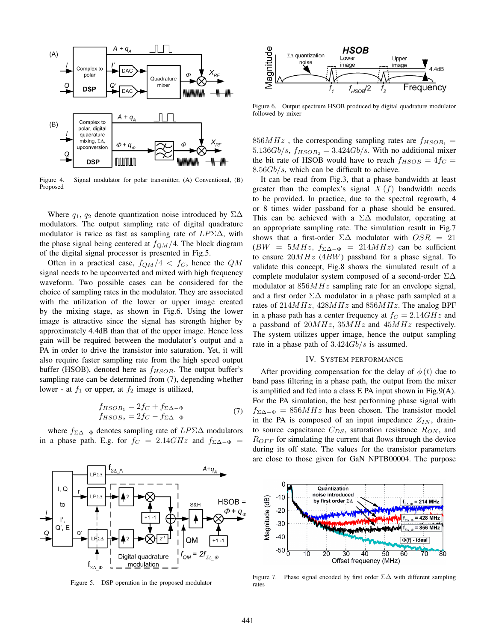

Figure 4. Signal modulator for polar transmitter, (A) Conventional, (B) Proposed

Where  $q_1$ ,  $q_2$  denote quantization noise introduced by  $\Sigma\Delta$ modulators. The output sampling rate of digital quadrature modulator is twice as fast as sampling rate of *LP*Σ∆, with the phase signal being centered at *fQM/*4. The block diagram of the digital signal processor is presented in Fig.5.

Often in a practical case,  $f_{QM}/4 < f_C$ , hence the  $QM$ signal needs to be upconverted and mixed with high frequency waveform. Two possible cases can be considered for the choice of sampling rates in the modulator. They are associated with the utilization of the lower or upper image created by the mixing stage, as shown in Fig.6. Using the lower image is attractive since the signal has strength higher by approximately 4.4dB than that of the upper image. Hence less gain will be required between the modulator's output and a PA in order to drive the transistor into saturation. Yet, it will also require faster sampling rate from the high speed output buffer (HSOB), denoted here as  $f_{HSOB}$ . The output buffer's sampling rate can be determined from (7), depending whether lower - at  $f_1$  or upper, at  $f_2$  image is utilized,

$$
f_{HSOB_1} = 2f_C + f_{\Sigma \Delta - \Phi}
$$
  
\n
$$
f_{HSOB_2} = 2f_C - f_{\Sigma \Delta - \Phi}
$$
\n(7)

where *f*Σ∆*−*<sup>Φ</sup> denotes sampling rate of *LP*Σ∆ modulators in a phase path. E.g. for  $f_C = 2.14GHz$  and  $f_{\Sigma\Delta-\Phi}$ 



Figure 5. DSP operation in the proposed modulator



Figure 6. Output spectrum HSOB produced by digital quadrature modulator followed by mixer

 $856MHz$ , the corresponding sampling rates are  $f_{HSOB_1}$  =  $5.136Gb/s$ ,  $f_{HSOB_2} = 3.424Gb/s$ . With no additional mixer the bit rate of HSOB would have to reach  $f_{HSOB} = 4f_C =$ 8*.*56*Gb/s*, which can be difficult to achieve.

It can be read from Fig.3, that a phase bandwidth at least greater than the complex's signal  $X(f)$  bandwidth needs to be provided. In practice, due to the spectral regrowth, 4 or 8 times wider passband for a phase should be ensured. This can be achieved with a  $\Sigma\Delta$  modulator, operating at an appropriate sampling rate. The simulation result in Fig.7 shows that a first-order  $\Sigma\Delta$  modulator with  $OSR = 21$  $(BW = 5MHz, f_{\Sigma\Delta-\Phi} = 214MHz$  can be sufficient to ensure 20*MHz* (4*BW*) passband for a phase signal. To validate this concept, Fig.8 shows the simulated result of a complete modulator system composed of a second-order Σ∆ modulator at 856*MHz* sampling rate for an envelope signal, and a first order  $\Sigma\Delta$  modulator in a phase path sampled at a rates of 214*MHz,* 428*MHz* and 856*MHz*. The analog BPF in a phase path has a center frequency at  $f_C = 2.14 \, GHz$  and a passband of 20*MHz,* 35*MHz* and 45*MHz* respectively. The system utilizes upper image, hence the output sampling rate in a phase path of 3*.*424*Gb/s* is assumed.

#### IV. SYSTEM PERFORMANCE

After providing compensation for the delay of  $\phi(t)$  due to band pass filtering in a phase path, the output from the mixer is amplified and fed into a class E PA input shown in Fig.9(A). For the PA simulation, the best performing phase signal with  $f_{\Sigma\Delta-\Phi} = 856MHz$  has been chosen. The transistor model in the PA is composed of an input impedance  $Z_{IN}$ , drainto source capacitance *CDS*, saturation resistance *RON* , and *R<sub>OFF</sub>* for simulating the current that flows through the device during its off state. The values for the transistor parameters are close to those given for GaN NPTB00004. The purpose



Figure 7. Phase signal encoded by first order Σ∆ with different sampling rates